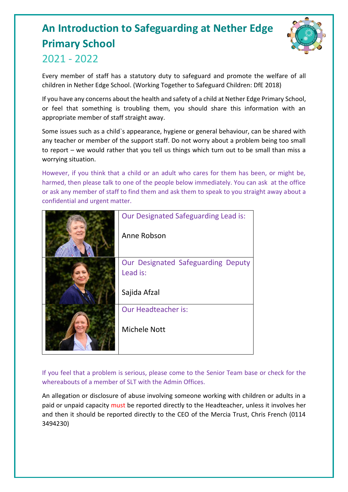# **An Introduction to Safeguarding at Nether Edge Primary School**



## 2021 - 2022

Every member of staff has a statutory duty to safeguard and promote the welfare of all children in Nether Edge School. (Working Together to Safeguard Children: DfE 2018)

If you have any concerns about the health and safety of a child at Nether Edge Primary School, or feel that something is troubling them, you should share this information with an appropriate member of staff straight away.

Some issues such as a child`s appearance, hygiene or general behaviour, can be shared with any teacher or member of the support staff. Do not worry about a problem being too small to report – we would rather that you tell us things which turn out to be small than miss a worrying situation.

However, if you think that a child or an adult who cares for them has been, or might be, harmed, then please talk to one of the people below immediately. You can ask at the office or ask any member of staff to find them and ask them to speak to you straight away about a confidential and urgent matter.

| Our Designated Safeguarding Lead is:<br>Anne Robson |
|-----------------------------------------------------|
|                                                     |
| Our Designated Safeguarding Deputy<br>Lead is:      |
| Sajida Afzal                                        |
| <b>Our Headteacher is:</b>                          |
| <b>Michele Nott</b>                                 |

If you feel that a problem is serious, please come to the Senior Team base or check for the whereabouts of a member of SLT with the Admin Offices.

An allegation or disclosure of abuse involving someone working with children or adults in a paid or unpaid capacity must be reported directly to the Headteacher, unless it involves her and then it should be reported directly to the CEO of the Mercia Trust, Chris French (0114 3494230)